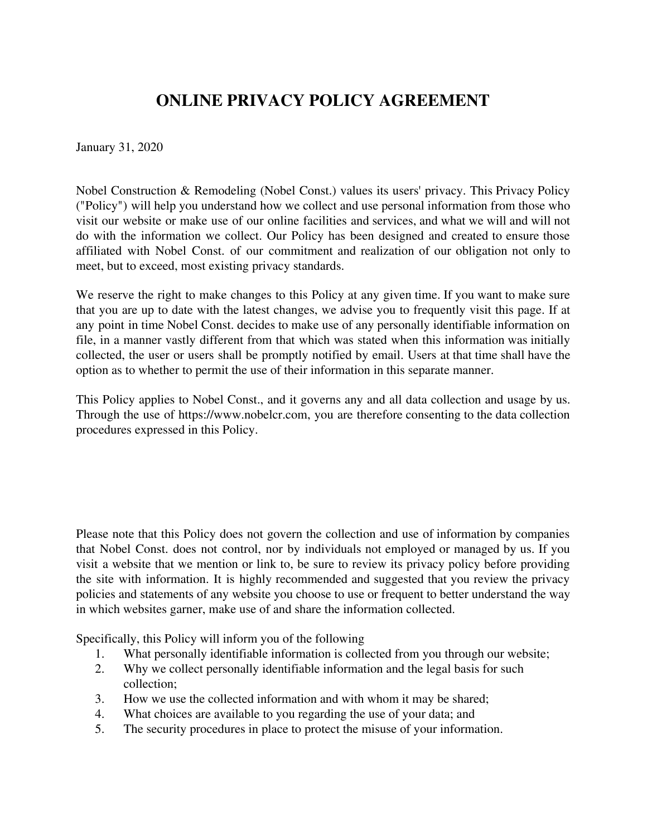# **ONLINE PRIVACY POLICY AGREEMENT**

January 31, 2020

Nobel Construction & Remodeling (Nobel Const.) values its users' privacy. This Privacy Policy ("Policy") will help you understand how we collect and use personal information from those who visit our website or make use of our online facilities and services, and what we will and will not do with the information we collect. Our Policy has been designed and created to ensure those affiliated with Nobel Const. of our commitment and realization of our obligation not only to meet, but to exceed, most existing privacy standards.

We reserve the right to make changes to this Policy at any given time. If you want to make sure that you are up to date with the latest changes, we advise you to frequently visit this page. If at any point in time Nobel Const. decides to make use of any personally identifiable information on file, in a manner vastly different from that which was stated when this information was initially collected, the user or users shall be promptly notified by email. Users at that time shall have the option as to whether to permit the use of their information in this separate manner.

This Policy applies to Nobel Const., and it governs any and all data collection and usage by us. Through the use of https://www.nobelcr.com, you are therefore consenting to the data collection procedures expressed in this Policy.

Please note that this Policy does not govern the collection and use of information by companies that Nobel Const. does not control, nor by individuals not employed or managed by us. If you visit a website that we mention or link to, be sure to review its privacy policy before providing the site with information. It is highly recommended and suggested that you review the privacy policies and statements of any website you choose to use or frequent to better understand the way in which websites garner, make use of and share the information collected.

Specifically, this Policy will inform you of the following

- 1. What personally identifiable information is collected from you through our website;<br>2. Why we collect personally identifiable information and the legal basis for such
- Why we collect personally identifiable information and the legal basis for such collection;
- 3. How we use the collected information and with whom it may be shared;
- 4. What choices are available to you regarding the use of your data; and
- 5. The security procedures in place to protect the misuse of your information.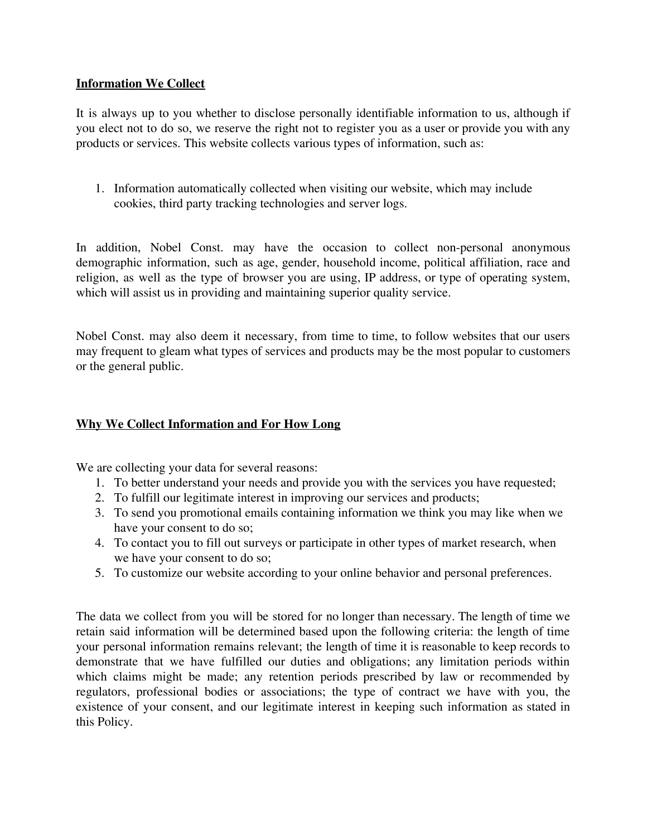# **Information We Collect**

It is always up to you whether to disclose personally identifiable information to us, although if you elect not to do so, we reserve the right not to register you as a user or provide you with any products or services. This website collects various types of information, such as:

1. Information automatically collected when visiting our website, which may include cookies, third party tracking technologies and server logs.

In addition, Nobel Const. may have the occasion to collect non-personal anonymous demographic information, such as age, gender, household income, political affiliation, race and religion, as well as the type of browser you are using, IP address, or type of operating system, which will assist us in providing and maintaining superior quality service.

Nobel Const. may also deem it necessary, from time to time, to follow websites that our users may frequent to gleam what types of services and products may be the most popular to customers or the general public.

# **Why We Collect Information and For How Long**

We are collecting your data for several reasons:

- 1. To better understand your needs and provide you with the services you have requested;
- 2. To fulfill our legitimate interest in improving our services and products;
- 3. To send you promotional emails containing information we think you may like when we have your consent to do so;
- 4. To contact you to fill out surveys or participate in other types of market research, when we have your consent to do so;
- 5. To customize our website according to your online behavior and personal preferences.

The data we collect from you will be stored for no longer than necessary. The length of time we retain said information will be determined based upon the following criteria: the length of time your personal information remains relevant; the length of time it is reasonable to keep records to demonstrate that we have fulfilled our duties and obligations; any limitation periods within which claims might be made; any retention periods prescribed by law or recommended by regulators, professional bodies or associations; the type of contract we have with you, the existence of your consent, and our legitimate interest in keeping such information as stated in this Policy.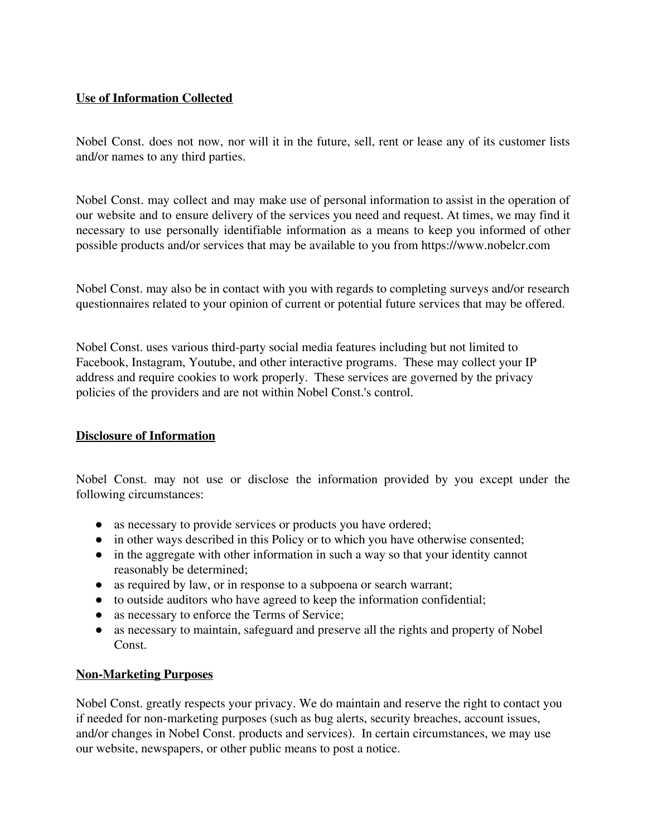# **Use of Information Collected**

Nobel Const. does not now, nor will it in the future, sell, rent or lease any of its customer lists and/or names to any third parties.

Nobel Const. may collect and may make use of personal information to assist in the operation of our website and to ensure delivery of the services you need and request. At times, we may find it necessary to use personally identifiable information as a means to keep you informed of other possible products and/or services that may be available to you from https://www.nobelcr.com

Nobel Const. may also be in contact with you with regards to completing surveys and/or research questionnaires related to your opinion of current or potential future services that may be offered.

Nobel Const. uses various third-party social media features including but not limited to Facebook, Instagram, Youtube, and other interactive programs. These may collect your IP address and require cookies to work properly. These services are governed by the privacy policies of the providers and are not within Nobel Const.'s control.

# **Disclosure of Information**

Nobel Const. may not use or disclose the information provided by you except under the following circumstances:

- as necessary to provide services or products you have ordered;
- in other ways described in this Policy or to which you have otherwise consented;
- in the aggregate with other information in such a way so that your identity cannot reasonably be determined;
- as required by law, or in response to a subpoena or search warrant;
- to outside auditors who have agreed to keep the information confidential;
- as necessary to enforce the Terms of Service;
- as necessary to maintain, safeguard and preserve all the rights and property of Nobel Const.

## **Non-Marketing Purposes**

Nobel Const. greatly respects your privacy. We do maintain and reserve the right to contact you if needed for non-marketing purposes (such as bug alerts, security breaches, account issues, and/or changes in Nobel Const. products and services). In certain circumstances, we may use our website, newspapers, or other public means to post a notice.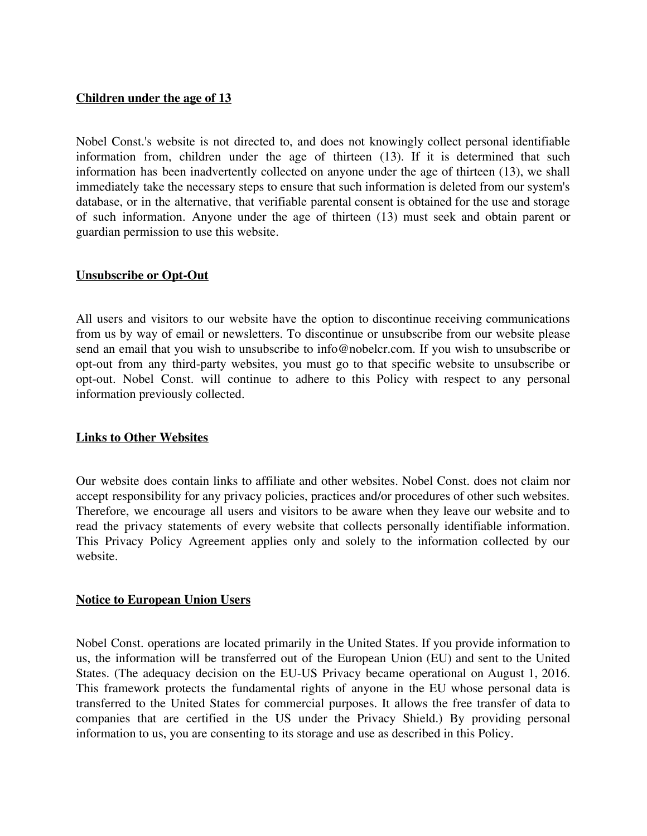## **Children under the age of 13**

Nobel Const.'s website is not directed to, and does not knowingly collect personal identifiable information from, children under the age of thirteen (13). If it is determined that such information has been inadvertently collected on anyone under the age of thirteen (13), we shall immediately take the necessary steps to ensure that such information is deleted from our system's database, or in the alternative, that verifiable parental consent is obtained for the use and storage of such information. Anyone under the age of thirteen (13) must seek and obtain parent or guardian permission to use this website.

## **Unsubscribe or Opt-Out**

All users and visitors to our website have the option to discontinue receiving communications from us by way of email or newsletters. To discontinue or unsubscribe from our website please send an email that you wish to unsubscribe to info@nobelcr.com. If you wish to unsubscribe or opt-out from any third-party websites, you must go to that specific website to unsubscribe or opt-out. Nobel Const. will continue to adhere to this Policy with respect to any personal information previously collected.

## **Links to Other Websites**

Our website does contain links to affiliate and other websites. Nobel Const. does not claim nor accept responsibility for any privacy policies, practices and/or procedures of other such websites. Therefore, we encourage all users and visitors to be aware when they leave our website and to read the privacy statements of every website that collects personally identifiable information. This Privacy Policy Agreement applies only and solely to the information collected by our website.

## **Notice to European Union Users**

Nobel Const. operations are located primarily in the United States. If you provide information to us, the information will be transferred out of the European Union (EU) and sent to the United States. (The adequacy decision on the EU-US Privacy became operational on August 1, 2016. This framework protects the fundamental rights of anyone in the EU whose personal data is transferred to the United States for commercial purposes. It allows the free transfer of data to companies that are certified in the US under the Privacy Shield.) By providing personal information to us, you are consenting to its storage and use as described in this Policy.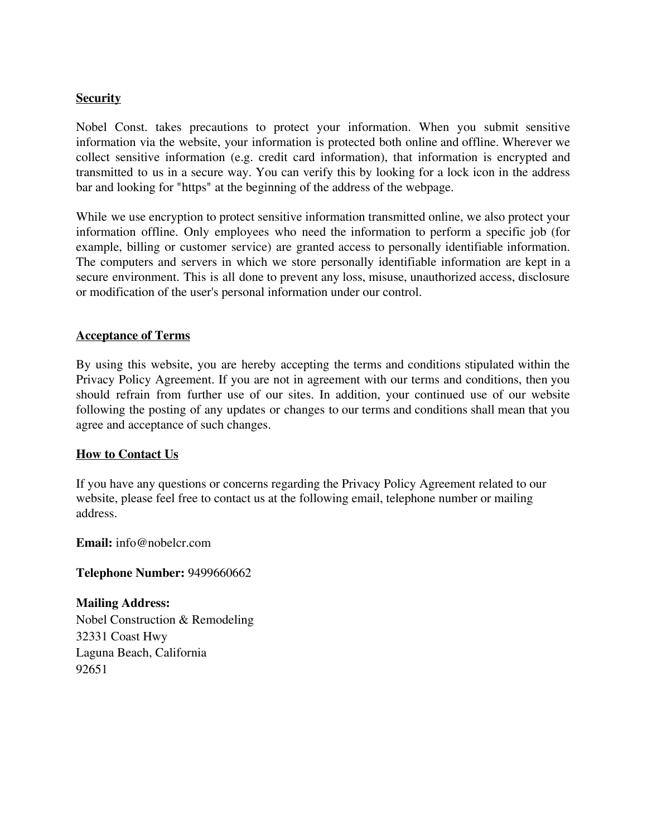## **Security**

Nobel Const. takes precautions to protect your information. When you submit sensitive information via the website, your information is protected both online and offline. Wherever we collect sensitive information (e.g. credit card information), that information is encrypted and transmitted to us in a secure way. You can verify this by looking for a lock icon in the address bar and looking for "https" at the beginning of the address of the webpage.

While we use encryption to protect sensitive information transmitted online, we also protect your information offline. Only employees who need the information to perform a specific job (for example, billing or customer service) are granted access to personally identifiable information. The computers and servers in which we store personally identifiable information are kept in a secure environment. This is all done to prevent any loss, misuse, unauthorized access, disclosure or modification of the user's personal information under our control.

#### **Acceptance of Terms**

By using this website, you are hereby accepting the terms and conditions stipulated within the Privacy Policy Agreement. If you are not in agreement with our terms and conditions, then you should refrain from further use of our sites. In addition, your continued use of our website following the posting of any updates or changes to our terms and conditions shall mean that you agree and acceptance of such changes.

## **How to Contact Us**

If you have any questions or concerns regarding the Privacy Policy Agreement related to our website, please feel free to contact us at the following email, telephone number or mailing address.

**Email:** info@nobelcr.com

#### **Telephone Number:** 9499660662

**Mailing Address:** Nobel Construction & Remodeling 32331 Coast Hwy Laguna Beach, California 92651